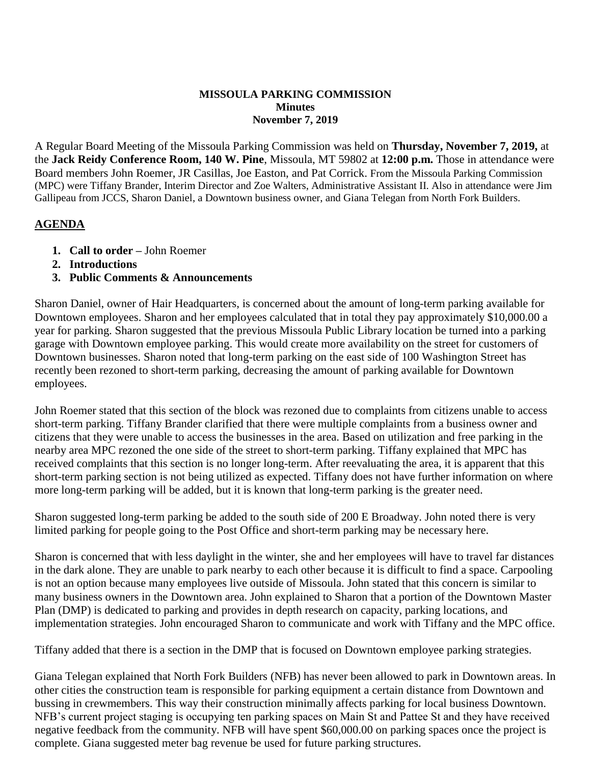#### **MISSOULA PARKING COMMISSION Minutes November 7, 2019**

A Regular Board Meeting of the Missoula Parking Commission was held on **Thursday, November 7, 2019,** at the **Jack Reidy Conference Room, 140 W. Pine**, Missoula, MT 59802 at **12:00 p.m.** Those in attendance were Board members John Roemer, JR Casillas, Joe Easton, and Pat Corrick. From the Missoula Parking Commission (MPC) were Tiffany Brander, Interim Director and Zoe Walters, Administrative Assistant II. Also in attendance were Jim Gallipeau from JCCS, Sharon Daniel, a Downtown business owner, and Giana Telegan from North Fork Builders.

## **AGENDA**

- **1. Call to order –** John Roemer
- **2. Introductions**
- **3. Public Comments & Announcements**

Sharon Daniel, owner of Hair Headquarters, is concerned about the amount of long-term parking available for Downtown employees. Sharon and her employees calculated that in total they pay approximately \$10,000.00 a year for parking. Sharon suggested that the previous Missoula Public Library location be turned into a parking garage with Downtown employee parking. This would create more availability on the street for customers of Downtown businesses. Sharon noted that long-term parking on the east side of 100 Washington Street has recently been rezoned to short-term parking, decreasing the amount of parking available for Downtown employees.

John Roemer stated that this section of the block was rezoned due to complaints from citizens unable to access short-term parking. Tiffany Brander clarified that there were multiple complaints from a business owner and citizens that they were unable to access the businesses in the area. Based on utilization and free parking in the nearby area MPC rezoned the one side of the street to short-term parking. Tiffany explained that MPC has received complaints that this section is no longer long-term. After reevaluating the area, it is apparent that this short-term parking section is not being utilized as expected. Tiffany does not have further information on where more long-term parking will be added, but it is known that long-term parking is the greater need.

Sharon suggested long-term parking be added to the south side of 200 E Broadway. John noted there is very limited parking for people going to the Post Office and short-term parking may be necessary here.

Sharon is concerned that with less daylight in the winter, she and her employees will have to travel far distances in the dark alone. They are unable to park nearby to each other because it is difficult to find a space. Carpooling is not an option because many employees live outside of Missoula. John stated that this concern is similar to many business owners in the Downtown area. John explained to Sharon that a portion of the Downtown Master Plan (DMP) is dedicated to parking and provides in depth research on capacity, parking locations, and implementation strategies. John encouraged Sharon to communicate and work with Tiffany and the MPC office.

Tiffany added that there is a section in the DMP that is focused on Downtown employee parking strategies.

Giana Telegan explained that North Fork Builders (NFB) has never been allowed to park in Downtown areas. In other cities the construction team is responsible for parking equipment a certain distance from Downtown and bussing in crewmembers. This way their construction minimally affects parking for local business Downtown. NFB's current project staging is occupying ten parking spaces on Main St and Pattee St and they have received negative feedback from the community. NFB will have spent \$60,000.00 on parking spaces once the project is complete. Giana suggested meter bag revenue be used for future parking structures.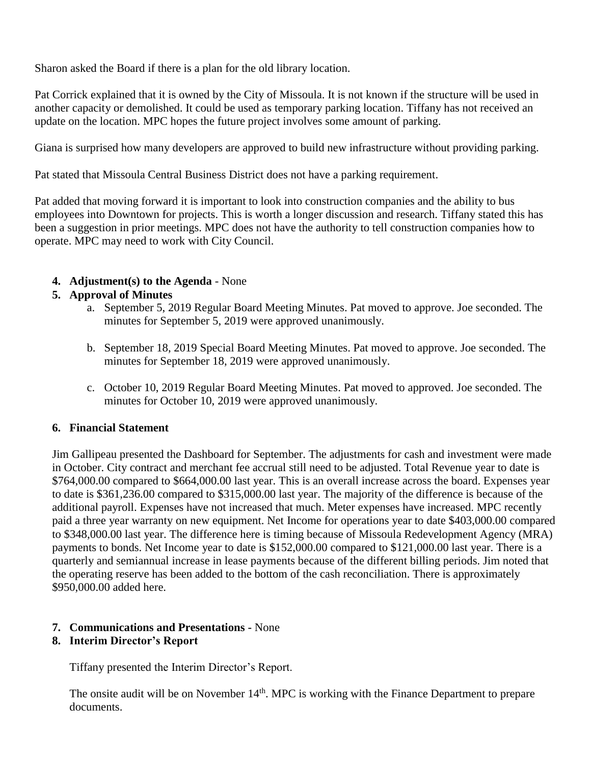Sharon asked the Board if there is a plan for the old library location.

Pat Corrick explained that it is owned by the City of Missoula. It is not known if the structure will be used in another capacity or demolished. It could be used as temporary parking location. Tiffany has not received an update on the location. MPC hopes the future project involves some amount of parking.

Giana is surprised how many developers are approved to build new infrastructure without providing parking.

Pat stated that Missoula Central Business District does not have a parking requirement.

Pat added that moving forward it is important to look into construction companies and the ability to bus employees into Downtown for projects. This is worth a longer discussion and research. Tiffany stated this has been a suggestion in prior meetings. MPC does not have the authority to tell construction companies how to operate. MPC may need to work with City Council.

# **4. Adjustment(s) to the Agenda** - None

# **5. Approval of Minutes**

- a. September 5, 2019 Regular Board Meeting Minutes. Pat moved to approve. Joe seconded. The minutes for September 5, 2019 were approved unanimously.
- b. September 18, 2019 Special Board Meeting Minutes. Pat moved to approve. Joe seconded. The minutes for September 18, 2019 were approved unanimously.
- c. October 10, 2019 Regular Board Meeting Minutes. Pat moved to approved. Joe seconded. The minutes for October 10, 2019 were approved unanimously.

## **6. Financial Statement**

Jim Gallipeau presented the Dashboard for September. The adjustments for cash and investment were made in October. City contract and merchant fee accrual still need to be adjusted. Total Revenue year to date is \$764,000.00 compared to \$664,000.00 last year. This is an overall increase across the board. Expenses year to date is \$361,236.00 compared to \$315,000.00 last year. The majority of the difference is because of the additional payroll. Expenses have not increased that much. Meter expenses have increased. MPC recently paid a three year warranty on new equipment. Net Income for operations year to date \$403,000.00 compared to \$348,000.00 last year. The difference here is timing because of Missoula Redevelopment Agency (MRA) payments to bonds. Net Income year to date is \$152,000.00 compared to \$121,000.00 last year. There is a quarterly and semiannual increase in lease payments because of the different billing periods. Jim noted that the operating reserve has been added to the bottom of the cash reconciliation. There is approximately \$950,000.00 added here.

## **7. Communications and Presentations -** None

## **8. Interim Director's Report**

Tiffany presented the Interim Director's Report.

The onsite audit will be on November  $14<sup>th</sup>$ . MPC is working with the Finance Department to prepare documents.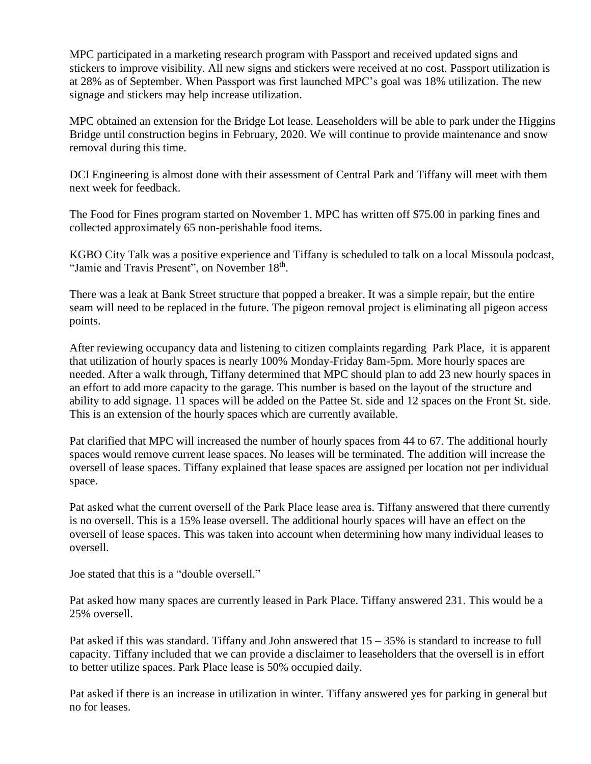MPC participated in a marketing research program with Passport and received updated signs and stickers to improve visibility. All new signs and stickers were received at no cost. Passport utilization is at 28% as of September. When Passport was first launched MPC's goal was 18% utilization. The new signage and stickers may help increase utilization.

MPC obtained an extension for the Bridge Lot lease. Leaseholders will be able to park under the Higgins Bridge until construction begins in February, 2020. We will continue to provide maintenance and snow removal during this time.

DCI Engineering is almost done with their assessment of Central Park and Tiffany will meet with them next week for feedback.

The Food for Fines program started on November 1. MPC has written off \$75.00 in parking fines and collected approximately 65 non-perishable food items.

KGBO City Talk was a positive experience and Tiffany is scheduled to talk on a local Missoula podcast, "Jamie and Travis Present", on November 18<sup>th</sup>.

There was a leak at Bank Street structure that popped a breaker. It was a simple repair, but the entire seam will need to be replaced in the future. The pigeon removal project is eliminating all pigeon access points.

After reviewing occupancy data and listening to citizen complaints regarding Park Place, it is apparent that utilization of hourly spaces is nearly 100% Monday-Friday 8am-5pm. More hourly spaces are needed. After a walk through, Tiffany determined that MPC should plan to add 23 new hourly spaces in an effort to add more capacity to the garage. This number is based on the layout of the structure and ability to add signage. 11 spaces will be added on the Pattee St. side and 12 spaces on the Front St. side. This is an extension of the hourly spaces which are currently available.

Pat clarified that MPC will increased the number of hourly spaces from 44 to 67. The additional hourly spaces would remove current lease spaces. No leases will be terminated. The addition will increase the oversell of lease spaces. Tiffany explained that lease spaces are assigned per location not per individual space.

Pat asked what the current oversell of the Park Place lease area is. Tiffany answered that there currently is no oversell. This is a 15% lease oversell. The additional hourly spaces will have an effect on the oversell of lease spaces. This was taken into account when determining how many individual leases to oversell.

Joe stated that this is a "double oversell."

Pat asked how many spaces are currently leased in Park Place. Tiffany answered 231. This would be a 25% oversell.

Pat asked if this was standard. Tiffany and John answered that  $15 - 35\%$  is standard to increase to full capacity. Tiffany included that we can provide a disclaimer to leaseholders that the oversell is in effort to better utilize spaces. Park Place lease is 50% occupied daily.

Pat asked if there is an increase in utilization in winter. Tiffany answered yes for parking in general but no for leases.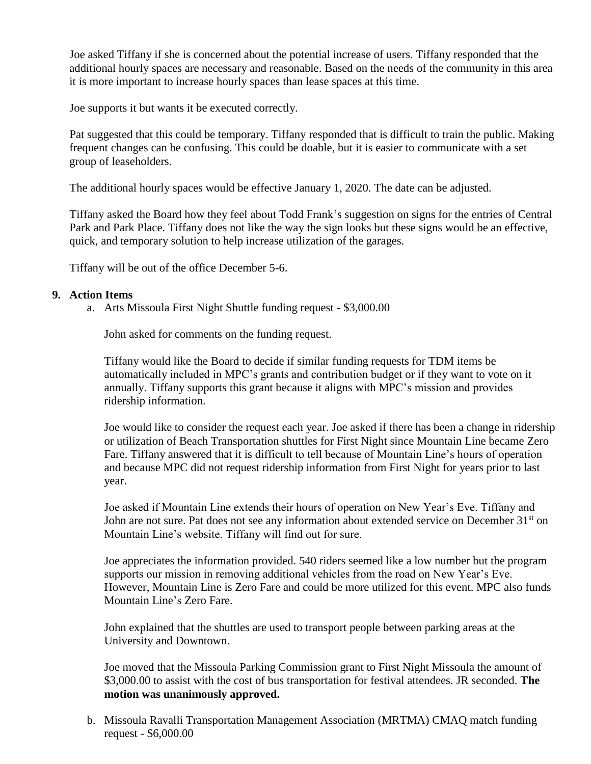Joe asked Tiffany if she is concerned about the potential increase of users. Tiffany responded that the additional hourly spaces are necessary and reasonable. Based on the needs of the community in this area it is more important to increase hourly spaces than lease spaces at this time.

Joe supports it but wants it be executed correctly.

Pat suggested that this could be temporary. Tiffany responded that is difficult to train the public. Making frequent changes can be confusing. This could be doable, but it is easier to communicate with a set group of leaseholders.

The additional hourly spaces would be effective January 1, 2020. The date can be adjusted.

Tiffany asked the Board how they feel about Todd Frank's suggestion on signs for the entries of Central Park and Park Place. Tiffany does not like the way the sign looks but these signs would be an effective, quick, and temporary solution to help increase utilization of the garages.

Tiffany will be out of the office December 5-6.

#### **9. Action Items**

a. Arts Missoula First Night Shuttle funding request - \$3,000.00

John asked for comments on the funding request.

Tiffany would like the Board to decide if similar funding requests for TDM items be automatically included in MPC's grants and contribution budget or if they want to vote on it annually. Tiffany supports this grant because it aligns with MPC's mission and provides ridership information.

Joe would like to consider the request each year. Joe asked if there has been a change in ridership or utilization of Beach Transportation shuttles for First Night since Mountain Line became Zero Fare. Tiffany answered that it is difficult to tell because of Mountain Line's hours of operation and because MPC did not request ridership information from First Night for years prior to last year.

Joe asked if Mountain Line extends their hours of operation on New Year's Eve. Tiffany and John are not sure. Pat does not see any information about extended service on December 31<sup>st</sup> on Mountain Line's website. Tiffany will find out for sure.

Joe appreciates the information provided. 540 riders seemed like a low number but the program supports our mission in removing additional vehicles from the road on New Year's Eve. However, Mountain Line is Zero Fare and could be more utilized for this event. MPC also funds Mountain Line's Zero Fare.

John explained that the shuttles are used to transport people between parking areas at the University and Downtown.

Joe moved that the Missoula Parking Commission grant to First Night Missoula the amount of \$3,000.00 to assist with the cost of bus transportation for festival attendees. JR seconded. **The motion was unanimously approved.**

b. Missoula Ravalli Transportation Management Association (MRTMA) CMAQ match funding request - \$6,000.00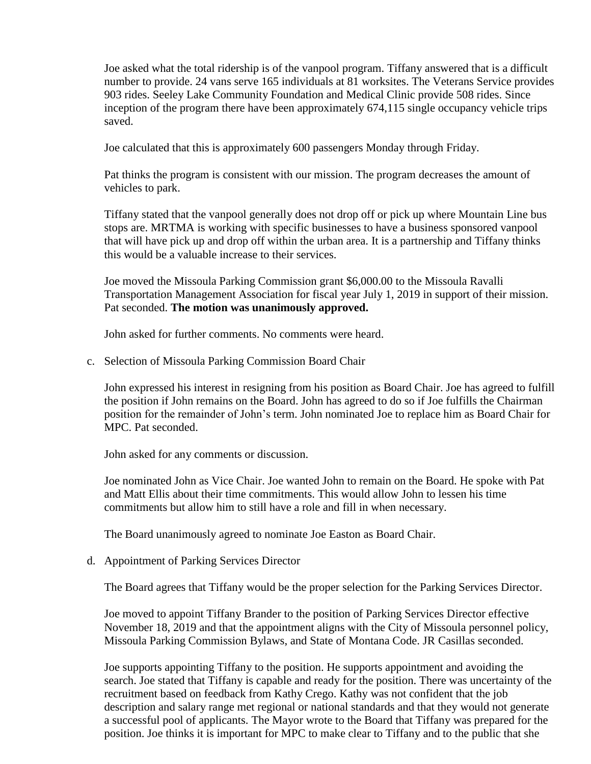Joe asked what the total ridership is of the vanpool program. Tiffany answered that is a difficult number to provide. 24 vans serve 165 individuals at 81 worksites. The Veterans Service provides 903 rides. Seeley Lake Community Foundation and Medical Clinic provide 508 rides. Since inception of the program there have been approximately 674,115 single occupancy vehicle trips saved.

Joe calculated that this is approximately 600 passengers Monday through Friday.

Pat thinks the program is consistent with our mission. The program decreases the amount of vehicles to park.

Tiffany stated that the vanpool generally does not drop off or pick up where Mountain Line bus stops are. MRTMA is working with specific businesses to have a business sponsored vanpool that will have pick up and drop off within the urban area. It is a partnership and Tiffany thinks this would be a valuable increase to their services.

Joe moved the Missoula Parking Commission grant \$6,000.00 to the Missoula Ravalli Transportation Management Association for fiscal year July 1, 2019 in support of their mission. Pat seconded. **The motion was unanimously approved.**

John asked for further comments. No comments were heard.

c. Selection of Missoula Parking Commission Board Chair

John expressed his interest in resigning from his position as Board Chair. Joe has agreed to fulfill the position if John remains on the Board. John has agreed to do so if Joe fulfills the Chairman position for the remainder of John's term. John nominated Joe to replace him as Board Chair for MPC. Pat seconded.

John asked for any comments or discussion.

Joe nominated John as Vice Chair. Joe wanted John to remain on the Board. He spoke with Pat and Matt Ellis about their time commitments. This would allow John to lessen his time commitments but allow him to still have a role and fill in when necessary.

The Board unanimously agreed to nominate Joe Easton as Board Chair.

d. Appointment of Parking Services Director

The Board agrees that Tiffany would be the proper selection for the Parking Services Director.

Joe moved to appoint Tiffany Brander to the position of Parking Services Director effective November 18, 2019 and that the appointment aligns with the City of Missoula personnel policy, Missoula Parking Commission Bylaws, and State of Montana Code. JR Casillas seconded.

Joe supports appointing Tiffany to the position. He supports appointment and avoiding the search. Joe stated that Tiffany is capable and ready for the position. There was uncertainty of the recruitment based on feedback from Kathy Crego. Kathy was not confident that the job description and salary range met regional or national standards and that they would not generate a successful pool of applicants. The Mayor wrote to the Board that Tiffany was prepared for the position. Joe thinks it is important for MPC to make clear to Tiffany and to the public that she